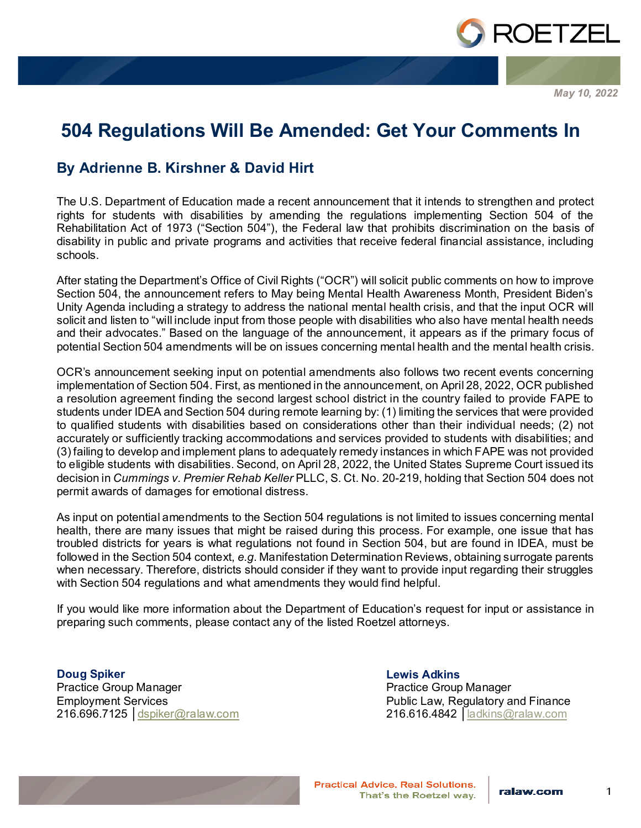

*May 10, 2022*

## **504 Regulations Will Be Amended: Get Your Comments In**

## **By Adrienne B. Kirshner & David Hirt**

The U.S. Department of Education made a recent announcement that it intends to strengthen and protect rights for students with disabilities by amending the regulations implementing Section 504 of the Rehabilitation Act of 1973 ("Section 504"), the Federal law that prohibits discrimination on the basis of disability in public and private programs and activities that receive federal financial assistance, including schools.

After stating the Department's Office of Civil Rights ("OCR") will solicit public comments on how to improve Section 504, the announcement refers to May being Mental Health Awareness Month, President Biden's Unity Agenda including a strategy to address the national mental health crisis, and that the input OCR will solicit and listen to "will include input from those people with disabilities who also have mental health needs and their advocates." Based on the language of the announcement, it appears as if the primary focus of potential Section 504 amendments will be on issues concerning mental health and the mental health crisis.

OCR's announcement seeking input on potential amendments also follows two recent events concerning implementation of Section 504. First, as mentioned in the announcement, on April 28, 2022, OCR published a resolution agreement finding the second largest school district in the country failed to provide FAPE to students under IDEA and Section 504 during remote learning by: (1) limiting the services that were provided to qualified students with disabilities based on considerations other than their individual needs; (2) not accurately or sufficiently tracking accommodations and services provided to students with disabilities; and (3) failing to develop and implement plans to adequately remedy instances in which FAPE was not provided to eligible students with disabilities. Second, on April 28, 2022, the United States Supreme Court issued its decision in *Cummings v. Premier Rehab Keller* PLLC, S. Ct. No. 20-219, holding that Section 504 does not permit awards of damages for emotional distress.

As input on potential amendments to the Section 504 regulations is not limited to issues concerning mental health, there are many issues that might be raised during this process. For example, one issue that has troubled districts for years is what regulations not found in Section 504, but are found in IDEA, must be followed in the Section 504 context, *e.g*. Manifestation Determination Reviews, obtaining surrogate parents when necessary. Therefore, districts should consider if they want to provide input regarding their struggles with Section 504 regulations and what amendments they would find helpful.

If you would like more information about the Department of Education's request for input or assistance in preparing such comments, please contact any of the listed Roetzel attorneys.

**Doug Spiker** Practice Group Manager Employment Services 216.696.7125 │[dspiker@ralaw.com](mailto:dspiker@ralaw.com)

**Lewis Adkins** Practice Group Manager Public Law, Regulatory and Finance 216.616.4842 │[ladkins@ralaw.com](mailto:ladkins@ralaw.com)